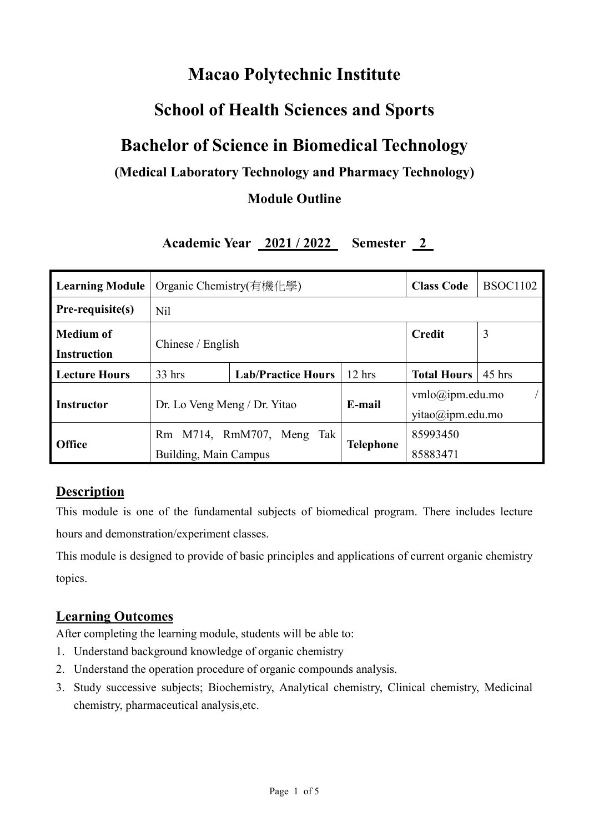# **Macao Polytechnic Institute**

## **School of Health Sciences and Sports**

## **Bachelor of Science in Biomedical Technology**

## **(Medical Laboratory Technology and Pharmacy Technology)**

### **Module Outline**

## **Academic Year 2021 / 2022 Semester 2**

| <b>Learning Module</b> | Organic Chemistry(有機化學)      |                           |           | <b>Class Code</b>                             | <b>BSOC1102</b> |  |
|------------------------|------------------------------|---------------------------|-----------|-----------------------------------------------|-----------------|--|
| Pre-requisite(s)       | N <sub>il</sub>              |                           |           |                                               |                 |  |
| <b>Medium of</b>       | Chinese / English            |                           |           | <b>Credit</b>                                 | 3               |  |
| <b>Instruction</b>     |                              |                           |           |                                               |                 |  |
| <b>Lecture Hours</b>   | $33$ hrs                     | <b>Lab/Practice Hours</b> | $12$ hrs  | <b>Total Hours</b>                            | $45$ hrs        |  |
| <b>Instructor</b>      | Dr. Lo Veng Meng / Dr. Yitao |                           | E-mail    | $vmlo(\omega)$ ipm.edu.mo<br>yitao@ipm.edu.mo |                 |  |
| <b>Office</b>          | Rm M714, RmM707, Meng Tak    |                           | 85993450  |                                               |                 |  |
|                        | Building, Main Campus        |                           | Telephone | 85883471                                      |                 |  |

### **Description**

This module is one of the fundamental subjects of biomedical program. There includes lecture hours and demonstration/experiment classes.

This module is designed to provide of basic principles and applications of current organic chemistry topics.

#### **Learning Outcomes**

After completing the learning module, students will be able to:

- 1. Understand background knowledge of organic chemistry
- 2. Understand the operation procedure of organic compounds analysis.
- 3. Study successive subjects; Biochemistry, Analytical chemistry, Clinical chemistry, Medicinal chemistry, pharmaceutical analysis,etc.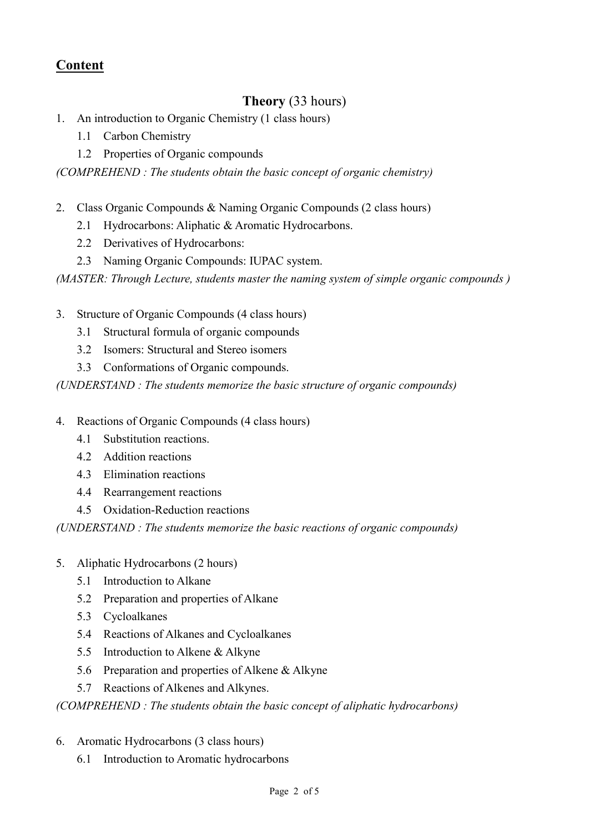## **Content**

## **Theory** (33 hours)

- 1. An introduction to Organic Chemistry (1 class hours)
	- 1.1 Carbon Chemistry
	- 1.2 Properties of Organic compounds

*(COMPREHEND : The students obtain the basic concept of organic chemistry)*

- 2. Class Organic Compounds & Naming Organic Compounds (2 class hours)
	- 2.1 Hydrocarbons: Aliphatic & Aromatic Hydrocarbons.
	- 2.2 Derivatives of Hydrocarbons:
	- 2.3 Naming Organic Compounds: IUPAC system.

*(MASTER: Through Lecture, students master the naming system of simple organic compounds )* 

- 3. Structure of Organic Compounds (4 class hours)
	- 3.1 Structural formula of organic compounds
	- 3.2 Isomers: Structural and Stereo isomers
	- 3.3 Conformations of Organic compounds.

*(UNDERSTAND : The students memorize the basic structure of organic compounds)*

- 4. Reactions of Organic Compounds (4 class hours)
	- 4.1 Substitution reactions.
	- 4.2 Addition reactions
	- 4.3 Elimination reactions
	- 4.4 Rearrangement reactions
	- 4.5 Oxidation-Reduction reactions

*(UNDERSTAND : The students memorize the basic reactions of organic compounds)*

- 5. Aliphatic Hydrocarbons (2 hours)
	- 5.1 Introduction to Alkane
	- 5.2 Preparation and properties of Alkane
	- 5.3 Cycloalkanes
	- 5.4 Reactions of Alkanes and Cycloalkanes
	- 5.5 Introduction to Alkene & Alkyne
	- 5.6 Preparation and properties of Alkene & Alkyne
	- 5.7 Reactions of Alkenes and Alkynes.

#### *(COMPREHEND : The students obtain the basic concept of aliphatic hydrocarbons)*

- 6. Aromatic Hydrocarbons (3 class hours)
	- 6.1 Introduction to Aromatic hydrocarbons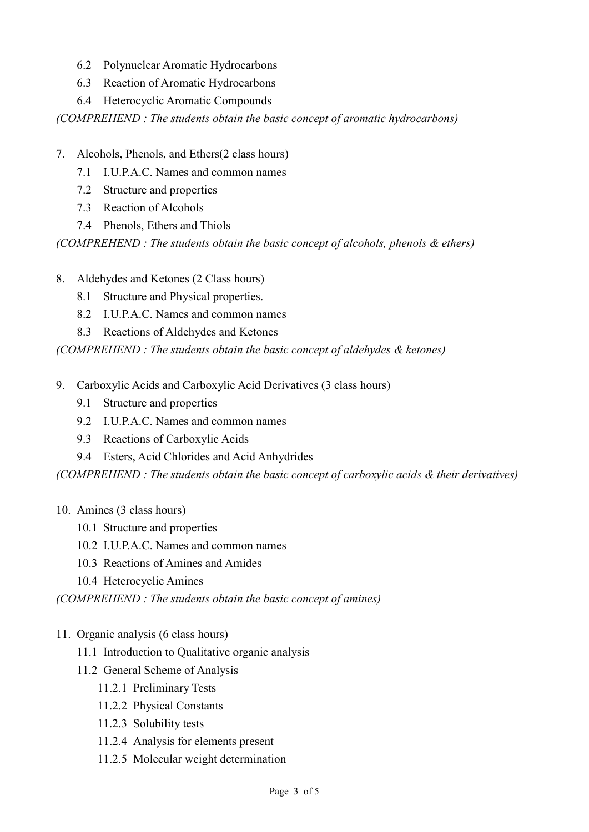- 6.2 Polynuclear Aromatic Hydrocarbons
- 6.3 Reaction of Aromatic Hydrocarbons
- 6.4 Heterocyclic Aromatic Compounds

*(COMPREHEND : The students obtain the basic concept of aromatic hydrocarbons)*

- 7. Alcohols, Phenols, and Ethers(2 class hours)
	- 7.1 I.U.P.A.C. Names and common names
	- 7.2 Structure and properties
	- 7.3 Reaction of Alcohols
	- 7.4 Phenols, Ethers and Thiols

*(COMPREHEND : The students obtain the basic concept of alcohols, phenols & ethers)*

- 8. Aldehydes and Ketones (2 Class hours)
	- 8.1 Structure and Physical properties.
	- 8.2 I.U.P.A.C. Names and common names
	- 8.3 Reactions of Aldehydes and Ketones

*(COMPREHEND : The students obtain the basic concept of aldehydes & ketones)*

- 9. Carboxylic Acids and Carboxylic Acid Derivatives (3 class hours)
	- 9.1 Structure and properties
	- 9.2 I.U.P.A.C. Names and common names
	- 9.3 Reactions of Carboxylic Acids
	- 9.4 Esters, Acid Chlorides and Acid Anhydrides

*(COMPREHEND : The students obtain the basic concept of carboxylic acids & their derivatives)*

- 10. Amines (3 class hours)
	- 10.1 Structure and properties
	- 10.2 I.U.P.A.C. Names and common names
	- 10.3 Reactions of Amines and Amides
	- 10.4 Heterocyclic Amines

*(COMPREHEND : The students obtain the basic concept of amines)*

- 11. Organic analysis (6 class hours)
	- 11.1 Introduction to Qualitative organic analysis
	- 11.2 General Scheme of Analysis
		- 11.2.1 Preliminary Tests
		- 11.2.2 Physical Constants
		- 11.2.3 Solubility tests
		- 11.2.4 Analysis for elements present
		- 11.2.5 Molecular weight determination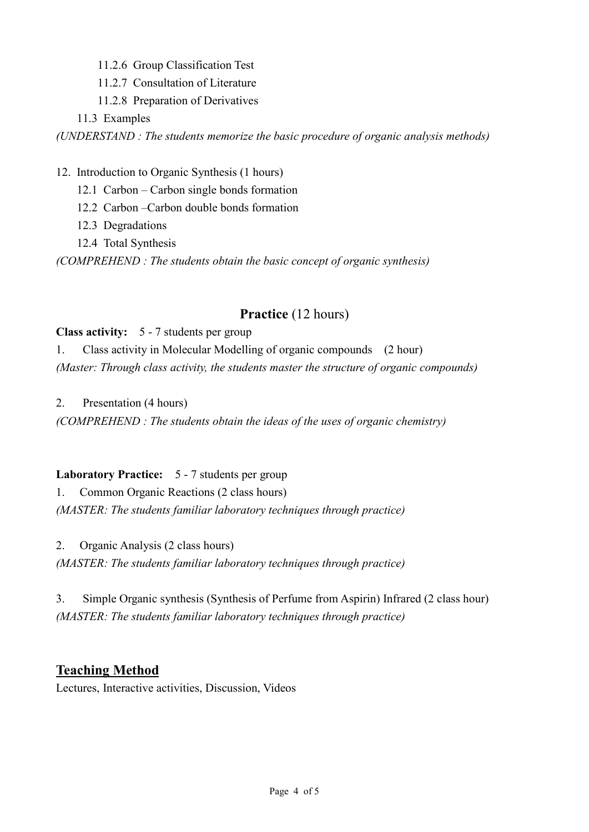- 11.2.6 Group Classification Test
- 11.2.7 Consultation of Literature
- 11.2.8 Preparation of Derivatives

11.3 Examples

*(UNDERSTAND : The students memorize the basic procedure of organic analysis methods)*

12. Introduction to Organic Synthesis (1 hours)

- 12.1 Carbon Carbon single bonds formation
- 12.2 Carbon –Carbon double bonds formation
- 12.3 Degradations
- 12.4 Total Synthesis

*(COMPREHEND : The students obtain the basic concept of organic synthesis)*

### **Practice** (12 hours)

#### **Class activity:** 5 - 7 students per group

1. Class activity in Molecular Modelling of organic compounds (2 hour) *(Master: Through class activity, the students master the structure of organic compounds)* 

2. Presentation (4 hours)

*(COMPREHEND : The students obtain the ideas of the uses of organic chemistry)*

#### **Laboratory Practice:** 5 - 7 students per group

1. Common Organic Reactions (2 class hours)

*(MASTER: The students familiar laboratory techniques through practice)* 

2. Organic Analysis (2 class hours)

*(MASTER: The students familiar laboratory techniques through practice)* 

3. Simple Organic synthesis (Synthesis of Perfume from Aspirin) Infrared (2 class hour) *(MASTER: The students familiar laboratory techniques through practice)* 

### **Teaching Method**

Lectures, Interactive activities, Discussion, Videos